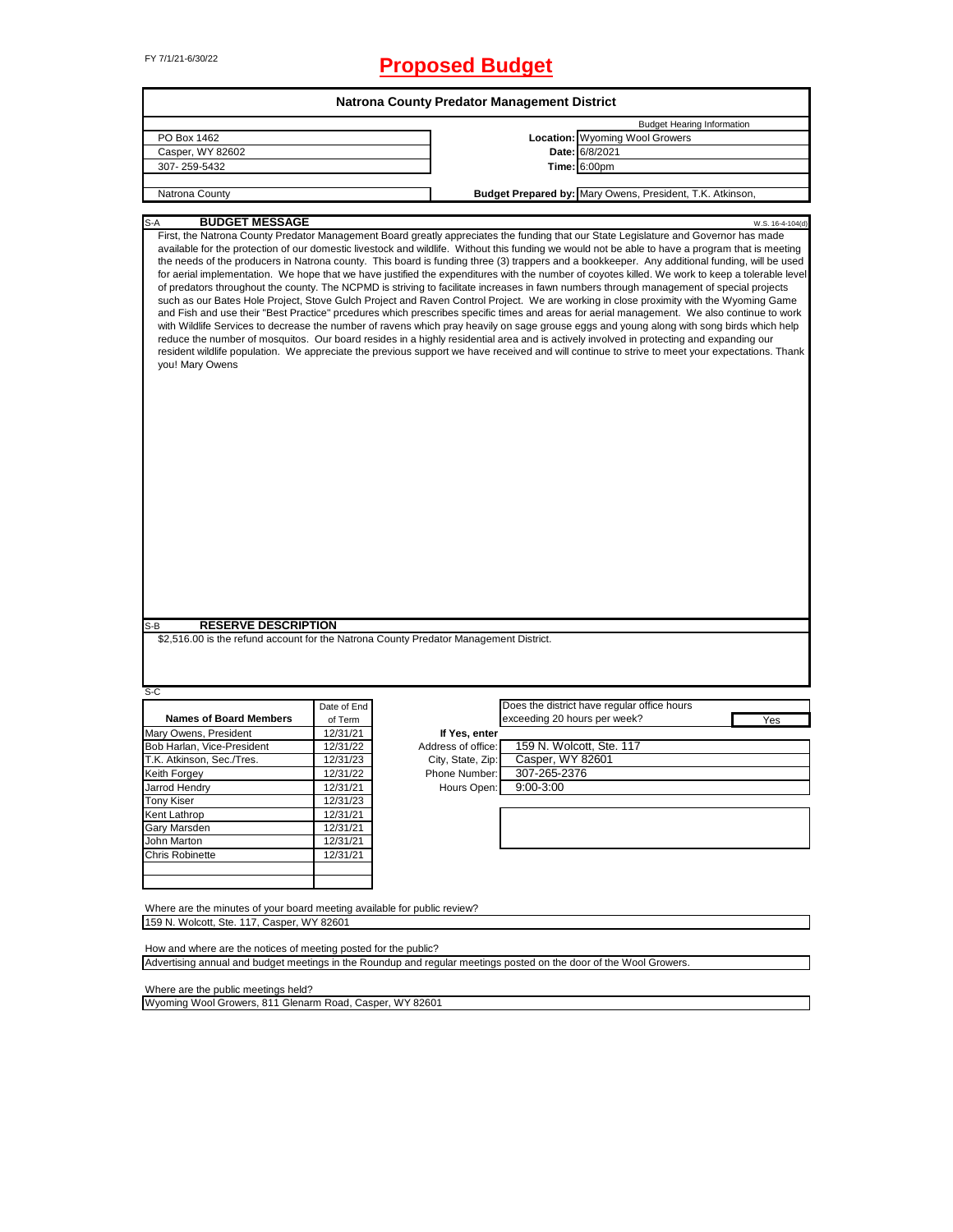# FY 7/1/21-6/30/22 **Proposed Budget**

| Natrona County Predator Management District                                                                                                   |             |                    |                              |                                                                                                                                                                                                                                                                                                                                                                                                                                                                                                                                                                                                                                                                                                                                                                                                                                                                                                                                                                                                                                                                                                                                                                                                                                                                                                                                                                                                                                                                            |  |  |  |  |
|-----------------------------------------------------------------------------------------------------------------------------------------------|-------------|--------------------|------------------------------|----------------------------------------------------------------------------------------------------------------------------------------------------------------------------------------------------------------------------------------------------------------------------------------------------------------------------------------------------------------------------------------------------------------------------------------------------------------------------------------------------------------------------------------------------------------------------------------------------------------------------------------------------------------------------------------------------------------------------------------------------------------------------------------------------------------------------------------------------------------------------------------------------------------------------------------------------------------------------------------------------------------------------------------------------------------------------------------------------------------------------------------------------------------------------------------------------------------------------------------------------------------------------------------------------------------------------------------------------------------------------------------------------------------------------------------------------------------------------|--|--|--|--|
|                                                                                                                                               |             |                    |                              | <b>Budget Hearing Information</b>                                                                                                                                                                                                                                                                                                                                                                                                                                                                                                                                                                                                                                                                                                                                                                                                                                                                                                                                                                                                                                                                                                                                                                                                                                                                                                                                                                                                                                          |  |  |  |  |
| PO Box 1462                                                                                                                                   |             |                    |                              | Location: Wyoming Wool Growers                                                                                                                                                                                                                                                                                                                                                                                                                                                                                                                                                                                                                                                                                                                                                                                                                                                                                                                                                                                                                                                                                                                                                                                                                                                                                                                                                                                                                                             |  |  |  |  |
| Casper, WY 82602                                                                                                                              |             |                    |                              | Date: 6/8/2021                                                                                                                                                                                                                                                                                                                                                                                                                                                                                                                                                                                                                                                                                                                                                                                                                                                                                                                                                                                                                                                                                                                                                                                                                                                                                                                                                                                                                                                             |  |  |  |  |
| 307-259-5432                                                                                                                                  |             |                    |                              | <b>Time: 6:00pm</b>                                                                                                                                                                                                                                                                                                                                                                                                                                                                                                                                                                                                                                                                                                                                                                                                                                                                                                                                                                                                                                                                                                                                                                                                                                                                                                                                                                                                                                                        |  |  |  |  |
|                                                                                                                                               |             |                    |                              |                                                                                                                                                                                                                                                                                                                                                                                                                                                                                                                                                                                                                                                                                                                                                                                                                                                                                                                                                                                                                                                                                                                                                                                                                                                                                                                                                                                                                                                                            |  |  |  |  |
| Natrona County                                                                                                                                |             |                    |                              | Budget Prepared by: Mary Owens, President, T.K. Atkinson,                                                                                                                                                                                                                                                                                                                                                                                                                                                                                                                                                                                                                                                                                                                                                                                                                                                                                                                                                                                                                                                                                                                                                                                                                                                                                                                                                                                                                  |  |  |  |  |
| <b>BUDGET MESSAGE</b><br>S-A                                                                                                                  |             |                    |                              | W.S. 16-4-104(d)                                                                                                                                                                                                                                                                                                                                                                                                                                                                                                                                                                                                                                                                                                                                                                                                                                                                                                                                                                                                                                                                                                                                                                                                                                                                                                                                                                                                                                                           |  |  |  |  |
| you! Mary Owens<br><b>RESERVE DESCRIPTION</b><br>S-B<br>\$2,516.00 is the refund account for the Natrona County Predator Management District. |             |                    |                              | First, the Natrona County Predator Management Board greatly appreciates the funding that our State Legislature and Governor has made<br>available for the protection of our domestic livestock and wildlife. Without this funding we would not be able to have a program that is meeting<br>the needs of the producers in Natrona county. This board is funding three (3) trappers and a bookkeeper. Any additional funding, will be used<br>for aerial implementation. We hope that we have justified the expenditures with the number of coyotes killed. We work to keep a tolerable level<br>of predators throughout the county. The NCPMD is striving to facilitate increases in fawn numbers through management of special projects<br>such as our Bates Hole Project, Stove Gulch Project and Raven Control Project. We are working in close proximity with the Wyoming Game<br>and Fish and use their "Best Practice" prcedures which prescribes specific times and areas for aerial management. We also continue to work<br>with Wildlife Services to decrease the number of ravens which pray heavily on sage grouse eggs and young along with song birds which help<br>reduce the number of mosquitos. Our board resides in a highly residential area and is actively involved in protecting and expanding our<br>resident wildlife population. We appreciate the previous support we have received and will continue to strive to meet your expectations. Thank |  |  |  |  |
|                                                                                                                                               |             |                    |                              |                                                                                                                                                                                                                                                                                                                                                                                                                                                                                                                                                                                                                                                                                                                                                                                                                                                                                                                                                                                                                                                                                                                                                                                                                                                                                                                                                                                                                                                                            |  |  |  |  |
| S-C                                                                                                                                           |             |                    |                              |                                                                                                                                                                                                                                                                                                                                                                                                                                                                                                                                                                                                                                                                                                                                                                                                                                                                                                                                                                                                                                                                                                                                                                                                                                                                                                                                                                                                                                                                            |  |  |  |  |
|                                                                                                                                               | Date of End |                    |                              | Does the district have regular office hours                                                                                                                                                                                                                                                                                                                                                                                                                                                                                                                                                                                                                                                                                                                                                                                                                                                                                                                                                                                                                                                                                                                                                                                                                                                                                                                                                                                                                                |  |  |  |  |
| <b>Names of Board Members</b>                                                                                                                 | of Term     |                    | exceeding 20 hours per week? | Yes                                                                                                                                                                                                                                                                                                                                                                                                                                                                                                                                                                                                                                                                                                                                                                                                                                                                                                                                                                                                                                                                                                                                                                                                                                                                                                                                                                                                                                                                        |  |  |  |  |
| Mary Owens, President                                                                                                                         | 12/31/21    | If Yes, enter      |                              |                                                                                                                                                                                                                                                                                                                                                                                                                                                                                                                                                                                                                                                                                                                                                                                                                                                                                                                                                                                                                                                                                                                                                                                                                                                                                                                                                                                                                                                                            |  |  |  |  |
| Bob Harlan, Vice-President                                                                                                                    | 12/31/22    | Address of office: |                              | 159 N. Wolcott, Ste. 117                                                                                                                                                                                                                                                                                                                                                                                                                                                                                                                                                                                                                                                                                                                                                                                                                                                                                                                                                                                                                                                                                                                                                                                                                                                                                                                                                                                                                                                   |  |  |  |  |
| T.K. Atkinson, Sec./Tres.                                                                                                                     | 12/31/23    | City, State, Zip:  | Casper, WY 82601             |                                                                                                                                                                                                                                                                                                                                                                                                                                                                                                                                                                                                                                                                                                                                                                                                                                                                                                                                                                                                                                                                                                                                                                                                                                                                                                                                                                                                                                                                            |  |  |  |  |
| Keith Forgey                                                                                                                                  | 12/31/22    | Phone Number:      | 307-265-2376                 |                                                                                                                                                                                                                                                                                                                                                                                                                                                                                                                                                                                                                                                                                                                                                                                                                                                                                                                                                                                                                                                                                                                                                                                                                                                                                                                                                                                                                                                                            |  |  |  |  |
| Jarrod Hendry                                                                                                                                 | 12/31/21    | Hours Open:        | $9:00 - 3:00$                |                                                                                                                                                                                                                                                                                                                                                                                                                                                                                                                                                                                                                                                                                                                                                                                                                                                                                                                                                                                                                                                                                                                                                                                                                                                                                                                                                                                                                                                                            |  |  |  |  |
| <b>Tony Kiser</b>                                                                                                                             | 12/31/23    |                    |                              |                                                                                                                                                                                                                                                                                                                                                                                                                                                                                                                                                                                                                                                                                                                                                                                                                                                                                                                                                                                                                                                                                                                                                                                                                                                                                                                                                                                                                                                                            |  |  |  |  |
| Kent Lathrop                                                                                                                                  | 12/31/21    |                    |                              |                                                                                                                                                                                                                                                                                                                                                                                                                                                                                                                                                                                                                                                                                                                                                                                                                                                                                                                                                                                                                                                                                                                                                                                                                                                                                                                                                                                                                                                                            |  |  |  |  |
| Gary Marsden                                                                                                                                  | 12/31/21    |                    |                              |                                                                                                                                                                                                                                                                                                                                                                                                                                                                                                                                                                                                                                                                                                                                                                                                                                                                                                                                                                                                                                                                                                                                                                                                                                                                                                                                                                                                                                                                            |  |  |  |  |
| John Marton                                                                                                                                   | 12/31/21    |                    |                              |                                                                                                                                                                                                                                                                                                                                                                                                                                                                                                                                                                                                                                                                                                                                                                                                                                                                                                                                                                                                                                                                                                                                                                                                                                                                                                                                                                                                                                                                            |  |  |  |  |
| Chris Robinette                                                                                                                               | 12/31/21    |                    |                              |                                                                                                                                                                                                                                                                                                                                                                                                                                                                                                                                                                                                                                                                                                                                                                                                                                                                                                                                                                                                                                                                                                                                                                                                                                                                                                                                                                                                                                                                            |  |  |  |  |
|                                                                                                                                               |             |                    |                              |                                                                                                                                                                                                                                                                                                                                                                                                                                                                                                                                                                                                                                                                                                                                                                                                                                                                                                                                                                                                                                                                                                                                                                                                                                                                                                                                                                                                                                                                            |  |  |  |  |
|                                                                                                                                               |             |                    |                              |                                                                                                                                                                                                                                                                                                                                                                                                                                                                                                                                                                                                                                                                                                                                                                                                                                                                                                                                                                                                                                                                                                                                                                                                                                                                                                                                                                                                                                                                            |  |  |  |  |
| Where are the minutes of your board meeting available for public review?<br>159 N. Wolcott, Ste. 117, Casper, WY 82601                        |             |                    |                              |                                                                                                                                                                                                                                                                                                                                                                                                                                                                                                                                                                                                                                                                                                                                                                                                                                                                                                                                                                                                                                                                                                                                                                                                                                                                                                                                                                                                                                                                            |  |  |  |  |
|                                                                                                                                               |             |                    |                              |                                                                                                                                                                                                                                                                                                                                                                                                                                                                                                                                                                                                                                                                                                                                                                                                                                                                                                                                                                                                                                                                                                                                                                                                                                                                                                                                                                                                                                                                            |  |  |  |  |
| How and where are the notices of meeting posted for the public?                                                                               |             |                    |                              |                                                                                                                                                                                                                                                                                                                                                                                                                                                                                                                                                                                                                                                                                                                                                                                                                                                                                                                                                                                                                                                                                                                                                                                                                                                                                                                                                                                                                                                                            |  |  |  |  |
| Advertising annual and budget meetings in the Roundup and regular meetings posted on the door of the Wool Growers.                            |             |                    |                              |                                                                                                                                                                                                                                                                                                                                                                                                                                                                                                                                                                                                                                                                                                                                                                                                                                                                                                                                                                                                                                                                                                                                                                                                                                                                                                                                                                                                                                                                            |  |  |  |  |
| Where are the public meetings held?                                                                                                           |             |                    |                              |                                                                                                                                                                                                                                                                                                                                                                                                                                                                                                                                                                                                                                                                                                                                                                                                                                                                                                                                                                                                                                                                                                                                                                                                                                                                                                                                                                                                                                                                            |  |  |  |  |
| Wyoming Wool Growers, 811 Glenarm Road, Casper, WY 82601                                                                                      |             |                    |                              |                                                                                                                                                                                                                                                                                                                                                                                                                                                                                                                                                                                                                                                                                                                                                                                                                                                                                                                                                                                                                                                                                                                                                                                                                                                                                                                                                                                                                                                                            |  |  |  |  |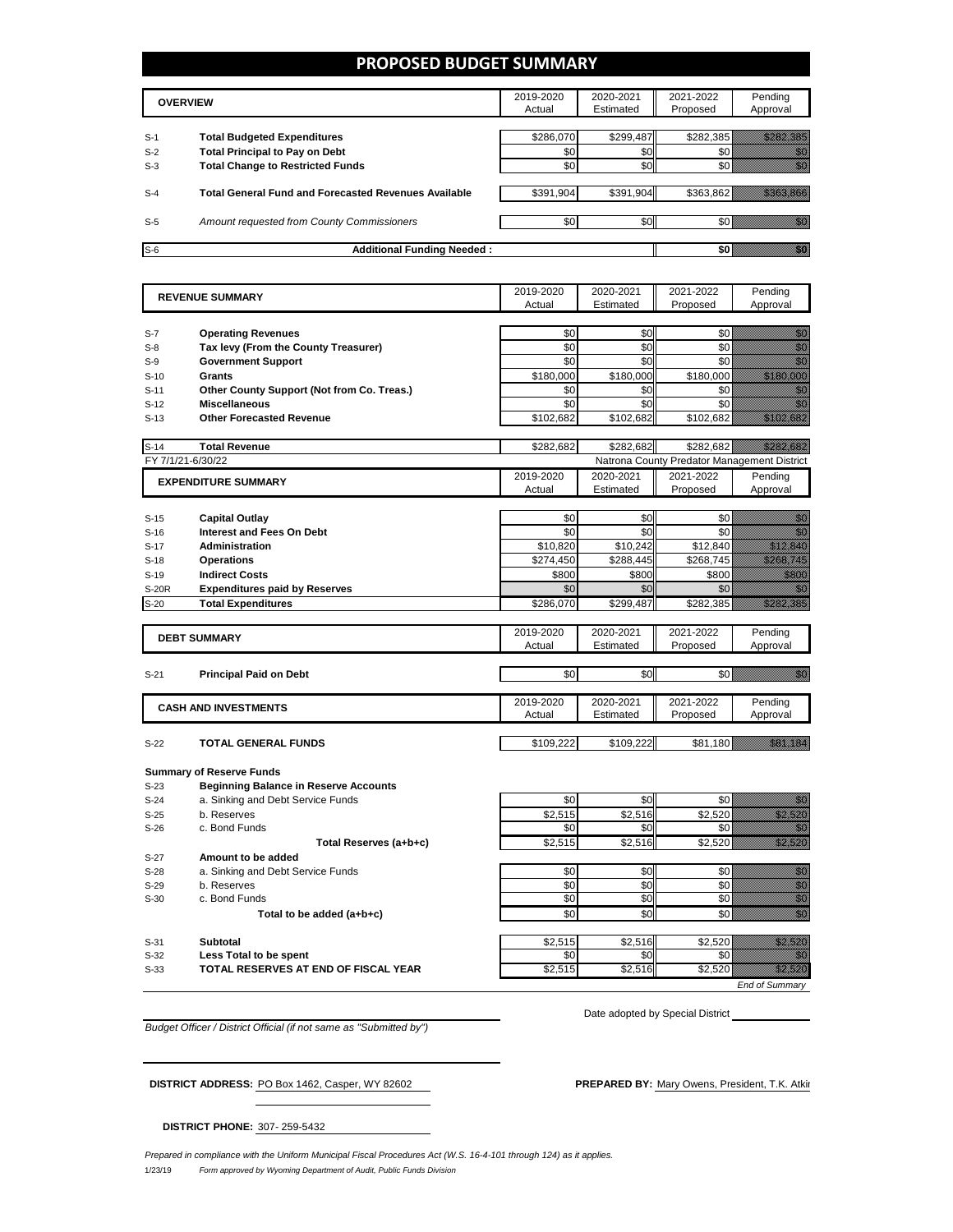#### **PROPOSED BUDGET SUMMARY**

|                | <b>OVERVIEW</b>                                                             | 2019-2020<br>Actual | 2020-2021<br>Estimated | 2021-2022<br>Proposed | Pending<br>Approval |
|----------------|-----------------------------------------------------------------------------|---------------------|------------------------|-----------------------|---------------------|
|                |                                                                             |                     |                        |                       |                     |
| $S-1$<br>$S-2$ | <b>Total Budgeted Expenditures</b><br><b>Total Principal to Pay on Debt</b> | \$286,070<br>\$0    | \$299,487<br>\$0       | \$282,385             |                     |
| $S-3$          | <b>Total Change to Restricted Funds</b>                                     | \$0                 | \$0                    |                       |                     |
| $S-4$          | <b>Total General Fund and Forecasted Revenues Available</b>                 | \$391,904           | \$391,904              | \$363.862             |                     |
| $S-5$          | Amount requested from County Commissioners                                  | \$0                 | \$0                    |                       |                     |
| $S-6$          | <b>Additional Funding Needed:</b>                                           |                     |                        |                       |                     |

| <b>REVENUE SUMMARY</b> |                                                                                 | 2019-2020      | 2020-2021      | 2021-2022                                   | Pending                                                                                                                                                                                                                                                                                                                                                                                                                                                             |
|------------------------|---------------------------------------------------------------------------------|----------------|----------------|---------------------------------------------|---------------------------------------------------------------------------------------------------------------------------------------------------------------------------------------------------------------------------------------------------------------------------------------------------------------------------------------------------------------------------------------------------------------------------------------------------------------------|
|                        |                                                                                 | Actual         | Estimated      | Proposed                                    | Approval                                                                                                                                                                                                                                                                                                                                                                                                                                                            |
|                        |                                                                                 | \$0            | \$0            | \$0                                         | an dhe                                                                                                                                                                                                                                                                                                                                                                                                                                                              |
| $S-7$<br>$S-8$         | <b>Operating Revenues</b><br>Tax levy (From the County Treasurer)               | \$0            | \$0            | \$0                                         | en de la familie de la familie de la familie de la familie de la familie de la familie de la familie de la fa<br>Constitution de la familie de la familie de la familie de la familie de la familie de la familie de la familie                                                                                                                                                                                                                                     |
| $S-9$                  | <b>Government Support</b>                                                       | \$0            | \$0            | \$0                                         | en de la familie de la familie de la familie de la familie de la familie de la familie de la familie de la fam<br>Constitution de la familie de la familie de la familie de la familie de la familie de la familie de la familie                                                                                                                                                                                                                                    |
| $S-10$                 | <b>Grants</b>                                                                   | \$180,000      | \$180,000      | \$180,000                                   | a sa mga kalalala                                                                                                                                                                                                                                                                                                                                                                                                                                                   |
| $S-11$                 | Other County Support (Not from Co. Treas.)                                      | \$0            | \$0            | \$0                                         |                                                                                                                                                                                                                                                                                                                                                                                                                                                                     |
| $S-12$                 | <b>Miscellaneous</b>                                                            | \$0            | \$0            | \$0                                         | e de la construcción de la construcción de la construcción de la construcción de la construcción de la construcción de la construcción de la construcción de la construcción de la construcción de la construcción de la const                                                                                                                                                                                                                                      |
| $S-13$                 | <b>Other Forecasted Revenue</b>                                                 | \$102,682      | \$102,682      | \$102,682                                   | <u>startin era</u>                                                                                                                                                                                                                                                                                                                                                                                                                                                  |
|                        |                                                                                 |                |                |                                             |                                                                                                                                                                                                                                                                                                                                                                                                                                                                     |
| $S-14$                 | <b>Total Revenue</b>                                                            | \$282,682      | \$282,682      | \$282,682                                   | <u> Hardina k</u>                                                                                                                                                                                                                                                                                                                                                                                                                                                   |
| FY 7/1/21-6/30/22      |                                                                                 |                |                | Natrona County Predator Management District |                                                                                                                                                                                                                                                                                                                                                                                                                                                                     |
|                        | <b>EXPENDITURE SUMMARY</b>                                                      | 2019-2020      | 2020-2021      | 2021-2022                                   | Pending                                                                                                                                                                                                                                                                                                                                                                                                                                                             |
|                        |                                                                                 | Actual         | Estimated      | Proposed                                    | Approval                                                                                                                                                                                                                                                                                                                                                                                                                                                            |
|                        |                                                                                 | \$0            | \$0            | \$0                                         |                                                                                                                                                                                                                                                                                                                                                                                                                                                                     |
| $S-15$<br>$S-16$       | <b>Capital Outlay</b><br><b>Interest and Fees On Debt</b>                       | \$0            | \$0            | \$0                                         | en de la forma de la forma de la forma de la forma de la forma de la forma de la forma de la forma de la forma<br>De la forma de la forma de la forma de la forma de la forma de la forma de la forma de la forma de la forma de<br>en de la familie de la familie de la familie de la familie de la familie de la familie de la familie de la fa<br>Constitution de la familie de la familie de la familie de la familie de la familie de la familie de la familie |
| $S-17$                 | Administration                                                                  | \$10,820       | \$10,242       | \$12,840                                    | <u>Mariji ya K</u>                                                                                                                                                                                                                                                                                                                                                                                                                                                  |
| $S-18$                 | <b>Operations</b>                                                               | \$274,450      | \$288,445      | \$268,745                                   | <u>Maria Mari</u>                                                                                                                                                                                                                                                                                                                                                                                                                                                   |
| $S-19$                 | <b>Indirect Costs</b>                                                           | \$800          | \$800          | \$800                                       | <u> Hillian</u>                                                                                                                                                                                                                                                                                                                                                                                                                                                     |
| <b>S-20R</b>           | <b>Expenditures paid by Reserves</b>                                            | \$0            | \$0            | \$0                                         | en de la familie de la familie de la familie de la familie de la familie de la familie de la familie de la fa<br>Constitution de la familie de la familie de la familie de la familie de la familie de la familie de la familie                                                                                                                                                                                                                                     |
| $S-20$                 | <b>Total Expenditures</b>                                                       | \$286,070      | \$299,487      | \$282,385                                   | <u>Marthua C</u>                                                                                                                                                                                                                                                                                                                                                                                                                                                    |
|                        |                                                                                 |                |                |                                             |                                                                                                                                                                                                                                                                                                                                                                                                                                                                     |
|                        | <b>DEBT SUMMARY</b>                                                             | 2019-2020      | 2020-2021      | 2021-2022                                   | Pending                                                                                                                                                                                                                                                                                                                                                                                                                                                             |
|                        |                                                                                 | Actual         | Estimated      | Proposed                                    | Approval                                                                                                                                                                                                                                                                                                                                                                                                                                                            |
| $S-21$                 |                                                                                 | \$0            | \$0            | \$0                                         | <u>i k</u>                                                                                                                                                                                                                                                                                                                                                                                                                                                          |
|                        | <b>Principal Paid on Debt</b>                                                   |                |                |                                             |                                                                                                                                                                                                                                                                                                                                                                                                                                                                     |
|                        | <b>CASH AND INVESTMENTS</b>                                                     | 2019-2020      | 2020-2021      | 2021-2022                                   | Pending                                                                                                                                                                                                                                                                                                                                                                                                                                                             |
|                        |                                                                                 | Actual         | Estimated      | Proposed                                    | Approval                                                                                                                                                                                                                                                                                                                                                                                                                                                            |
|                        |                                                                                 |                |                |                                             |                                                                                                                                                                                                                                                                                                                                                                                                                                                                     |
| $S-22$                 | <b>TOTAL GENERAL FUNDS</b>                                                      | \$109,222      | \$109,222      | \$81,180                                    | <u>istorian e</u>                                                                                                                                                                                                                                                                                                                                                                                                                                                   |
|                        |                                                                                 |                |                |                                             |                                                                                                                                                                                                                                                                                                                                                                                                                                                                     |
| $S-23$                 | <b>Summary of Reserve Funds</b><br><b>Beginning Balance in Reserve Accounts</b> |                |                |                                             |                                                                                                                                                                                                                                                                                                                                                                                                                                                                     |
| $S-24$                 | a. Sinking and Debt Service Funds                                               | \$0            | \$0            | \$0                                         | 1999                                                                                                                                                                                                                                                                                                                                                                                                                                                                |
| $S-25$                 | b. Reserves                                                                     | \$2,515        | \$2,516        | \$2,520                                     | <u> Hillian Sta</u>                                                                                                                                                                                                                                                                                                                                                                                                                                                 |
| $S-26$                 | c. Bond Funds                                                                   | \$0            | \$0            | \$0                                         | an di Kabupatén Tanah Jaw                                                                                                                                                                                                                                                                                                                                                                                                                                           |
|                        | Total Reserves (a+b+c)                                                          | \$2,515        | \$2,516        | \$2,520                                     | a katika kalendari katika katika alikuwa alikuwa alikuwa alikuwa alikuwa alikuwa alikuwa alikuwa alikuwa aliku<br>Katika katika katika katika katika katika katika katika katika katika katika katika katika katika katika aliku                                                                                                                                                                                                                                    |
| $S-27$                 | Amount to be added                                                              |                |                |                                             |                                                                                                                                                                                                                                                                                                                                                                                                                                                                     |
| $S-28$                 | a. Sinking and Debt Service Funds                                               | \$0            | \$0            | \$0                                         |                                                                                                                                                                                                                                                                                                                                                                                                                                                                     |
| $S-29$                 | b. Reserves                                                                     | \$0            | \$0            | \$0                                         | e de la composición de la composición de la composición de la composición de la composición de la composición<br>Campo de la composición de la composición de la composición de la composición de la composición de la composic                                                                                                                                                                                                                                     |
| $S-30$                 | c. Bond Funds                                                                   | \$0            | \$0            | \$0                                         |                                                                                                                                                                                                                                                                                                                                                                                                                                                                     |
|                        | Total to be added (a+b+c)                                                       | \$0            | \$0            | \$0                                         | en de la familie de la familie de la familie de la familie de la familie de la familie de la familie de la fam<br>Constitution de la familie de la familie de la familie de la familie de la familie de la familie de la familie                                                                                                                                                                                                                                    |
|                        |                                                                                 |                |                |                                             |                                                                                                                                                                                                                                                                                                                                                                                                                                                                     |
| $S-31$<br>$S-32$       | <b>Subtotal</b><br>Less Total to be spent                                       | \$2,515<br>\$0 | \$2,516<br>\$0 | \$2,520<br>\$0                              | <u> Hillingan</u><br>an dhe                                                                                                                                                                                                                                                                                                                                                                                                                                         |
| $S-33$                 | TOTAL RESERVES AT END OF FISCAL YEAR                                            | \$2,515        | \$2,516        | \$2,520                                     | <u>e dhe që shtë shtë sht</u>                                                                                                                                                                                                                                                                                                                                                                                                                                       |
|                        |                                                                                 |                |                |                                             |                                                                                                                                                                                                                                                                                                                                                                                                                                                                     |

*Budget Officer / District Official (if not same as "Submitted by")*

Date adopted by Special District

*End of Summary*

**DISTRICT ADDRESS:** PO Box 1462, Casper, WY 82602 **PREPARED BY:** Mary Owens, President, T.K. Atkin

**DISTRICT PHONE:** 307- 259-5432

1/23/19 *Form approved by Wyoming Department of Audit, Public Funds Division Prepared in compliance with the Uniform Municipal Fiscal Procedures Act (W.S. 16-4-101 through 124) as it applies.*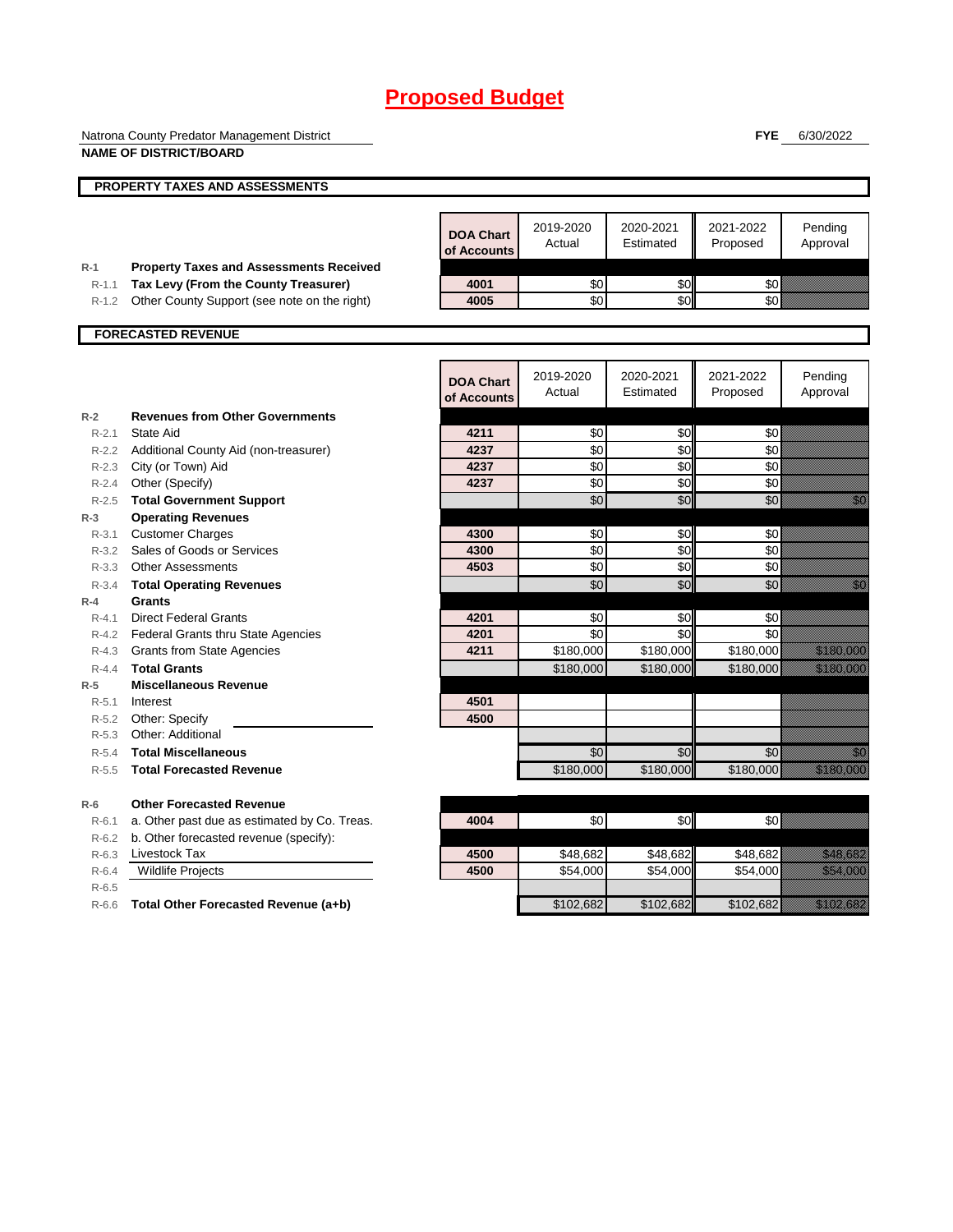|                        | Natrona County Predator Management District                                          |                                 |                     |                        | <b>FYE</b>            | 6/30/2022                                                                                                                                                                                                                        |
|------------------------|--------------------------------------------------------------------------------------|---------------------------------|---------------------|------------------------|-----------------------|----------------------------------------------------------------------------------------------------------------------------------------------------------------------------------------------------------------------------------|
|                        | <b>NAME OF DISTRICT/BOARD</b>                                                        |                                 |                     |                        |                       |                                                                                                                                                                                                                                  |
|                        | PROPERTY TAXES AND ASSESSMENTS                                                       |                                 |                     |                        |                       |                                                                                                                                                                                                                                  |
|                        |                                                                                      |                                 |                     |                        |                       |                                                                                                                                                                                                                                  |
|                        |                                                                                      | <b>DOA Chart</b><br>of Accounts | 2019-2020<br>Actual | 2020-2021<br>Estimated | 2021-2022<br>Proposed | Pending<br>Approval                                                                                                                                                                                                              |
| $R-1$<br>$R-1.1$       | <b>Property Taxes and Assessments Received</b>                                       | 4001                            | \$0                 | \$0                    | \$0                   |                                                                                                                                                                                                                                  |
| $R-1.2$                | Tax Levy (From the County Treasurer)<br>Other County Support (see note on the right) | 4005                            | \$0                 | \$0                    | \$0                   |                                                                                                                                                                                                                                  |
|                        |                                                                                      |                                 |                     |                        |                       |                                                                                                                                                                                                                                  |
|                        | <b>FORECASTED REVENUE</b>                                                            |                                 |                     |                        |                       |                                                                                                                                                                                                                                  |
|                        |                                                                                      |                                 |                     |                        |                       |                                                                                                                                                                                                                                  |
|                        |                                                                                      | <b>DOA Chart</b><br>of Accounts | 2019-2020<br>Actual | 2020-2021<br>Estimated | 2021-2022<br>Proposed | Pending<br>Approval                                                                                                                                                                                                              |
| $R-2$                  | <b>Revenues from Other Governments</b>                                               |                                 |                     |                        |                       |                                                                                                                                                                                                                                  |
| $R-2.1$                | State Aid                                                                            | 4211                            | \$0                 | \$0                    | \$0                   |                                                                                                                                                                                                                                  |
| $R - 2.2$              | Additional County Aid (non-treasurer)                                                | 4237                            | \$0                 | \$0                    | \$0                   |                                                                                                                                                                                                                                  |
|                        | R-2.3 City (or Town) Aid                                                             | 4237                            | \$0                 | \$0                    | \$0                   |                                                                                                                                                                                                                                  |
| R-2.4                  | Other (Specify)                                                                      | 4237                            | \$0                 | \$0                    | \$0                   |                                                                                                                                                                                                                                  |
| $R - 2.5$              | <b>Total Government Support</b>                                                      |                                 | \$0                 | \$0                    | \$0                   | en de la familie de la familie de la familie de la familie de la familie de la familie de la familie de la fam<br>Constituit de la familie de la familie de la familie de la familie de la familie de la familie de la familie d |
| $R-3$                  | <b>Operating Revenues</b>                                                            |                                 |                     |                        |                       |                                                                                                                                                                                                                                  |
| $R - 3.1$<br>$R - 3.2$ | <b>Customer Charges</b><br>Sales of Goods or Services                                | 4300<br>4300                    | \$0<br>\$0          | \$0<br>\$0             | \$0<br>\$0            |                                                                                                                                                                                                                                  |
|                        | R-3.3 Other Assessments                                                              | 4503                            | \$0                 | \$0                    | \$0                   |                                                                                                                                                                                                                                  |
| $R - 3.4$              | <b>Total Operating Revenues</b>                                                      |                                 | \$0                 | \$0                    | \$0                   | e de la concellativa de la concellativa de la concellativa de la concellativa de la concellativa de la concell<br>Concellativa de la concellativa de la concellativa de la concellativa de la concellativa de la concellativa de |
| $R-4$                  | Grants                                                                               |                                 |                     |                        |                       |                                                                                                                                                                                                                                  |
| $R - 4.1$              | <b>Direct Federal Grants</b>                                                         | 4201                            | \$0                 | \$0                    | \$0                   |                                                                                                                                                                                                                                  |
|                        | R-4.2 Federal Grants thru State Agencies                                             | 4201                            | \$0                 | \$0                    | \$0                   |                                                                                                                                                                                                                                  |
|                        | R-4.3 Grants from State Agencies                                                     | 4211                            | \$180,000           | \$180,000              | \$180,000             | <u> Mariji (</u>                                                                                                                                                                                                                 |
| $R - 4.4$              | <b>Total Grants</b>                                                                  |                                 | \$180,000           | \$180,000              | \$180,000             | <u>e komunisti po</u>                                                                                                                                                                                                            |
| $R-5$                  | <b>Miscellaneous Revenue</b>                                                         |                                 |                     |                        |                       |                                                                                                                                                                                                                                  |
| $R-5.1$                | Interest                                                                             | 4501                            |                     |                        |                       |                                                                                                                                                                                                                                  |
| R-5.2                  | Other: Specify                                                                       | 4500                            |                     |                        |                       |                                                                                                                                                                                                                                  |
| $R - 5.3$              | Other: Additional                                                                    |                                 |                     |                        |                       |                                                                                                                                                                                                                                  |
| $R-5.4$                | <b>Total Miscellaneous</b>                                                           |                                 | \$0                 | \$0                    | \$0                   | en de la familie de la familie de la familie de la familie de la familie de la familie de la familie de la fam<br>Constituit de la familie de la familie de la familie de la familie de la familie de la familie de la familie d |
| $R - 5.5$              | <b>Total Forecasted Revenue</b>                                                      |                                 | \$180,000           | \$180,000              | \$180,000             | a a bhliain 1979.                                                                                                                                                                                                                |
| $R-6$                  | <b>Other Forecasted Revenue</b>                                                      |                                 |                     |                        |                       |                                                                                                                                                                                                                                  |
| $R-6.1$                | a. Other past due as estimated by Co. Treas.                                         | 4004                            | \$0                 | \$0                    | \$0                   |                                                                                                                                                                                                                                  |
| $R-6.2$                | b. Other forecasted revenue (specify):                                               |                                 |                     |                        |                       |                                                                                                                                                                                                                                  |
| $R-6.3$                | Livestock Tax                                                                        | 4500                            | \$48.682            | \$48,682               | \$48,682              | <u> Karl Barat da</u>                                                                                                                                                                                                            |
| $R-6.4$                | <b>Wildlife Projects</b>                                                             | 4500                            | \$54,000            | \$54,000               | \$54,000              | <b>Santa Cardinal</b>                                                                                                                                                                                                            |
| $R-6.5$                |                                                                                      |                                 |                     |                        |                       |                                                                                                                                                                                                                                  |
| $R-6.6$                | Total Other Forecasted Revenue (a+b)                                                 |                                 | \$102,682           | \$102,682              | \$102,682             | <u>esta kontroll</u>                                                                                                                                                                                                             |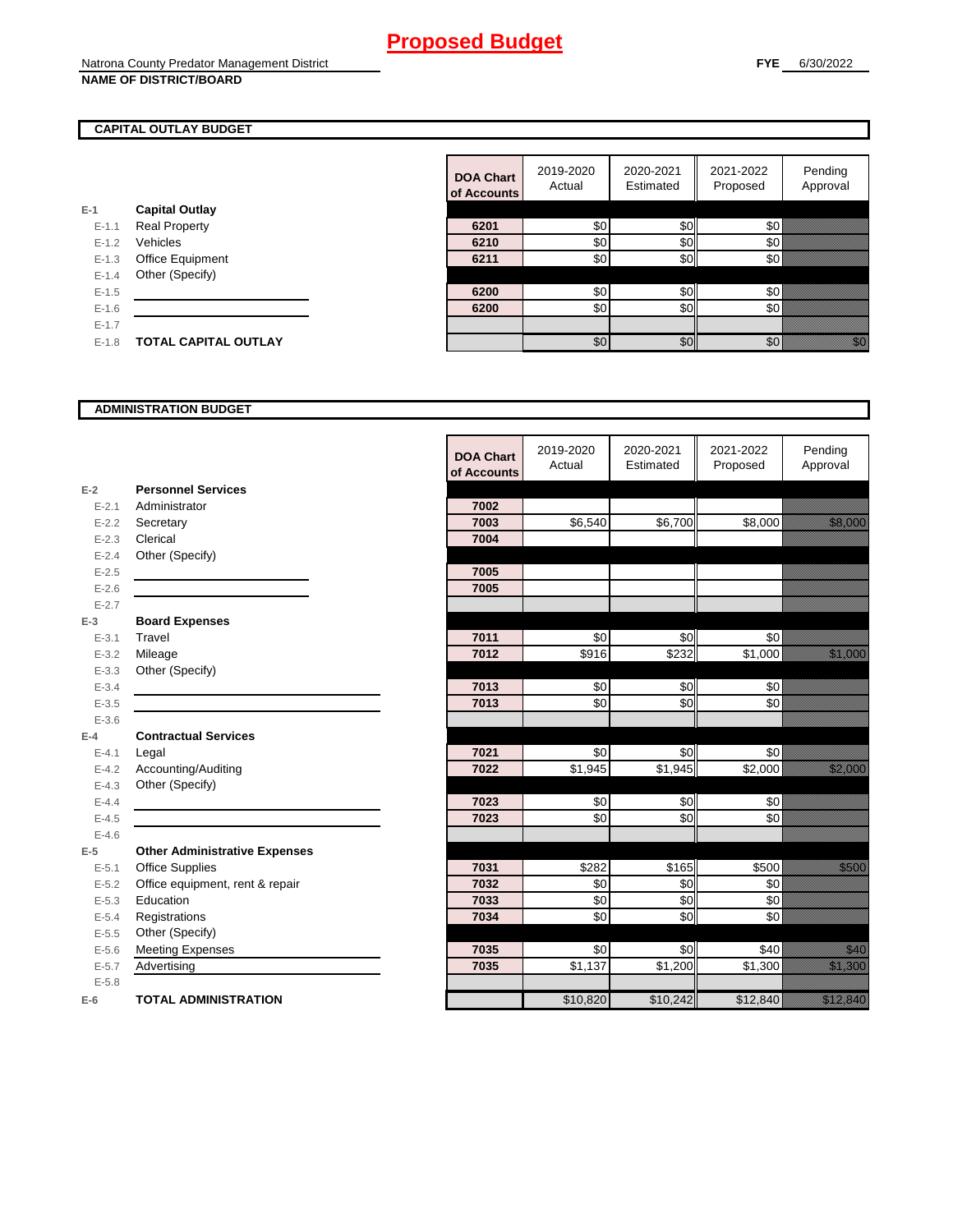#### **CAPITAL OUTLAY BUDGET**

| F-1       | <b>Capital Outlay</b>       |
|-----------|-----------------------------|
| $E - 1.1$ | <b>Real Property</b>        |
| $F-12$    | Vehicles                    |
| $F-1.3$   | <b>Office Equipment</b>     |
| $F-14$    | Other (Specify)             |
| $F-1.5$   |                             |
| $F-16$    |                             |
| $F-17$    |                             |
| $F-1.8$   | <b>TOTAL CAPITAL OUTLAY</b> |
|           |                             |

|           |                             | <b>DOA Chart</b><br>of Accounts | 2019-2020<br>Actual | 2020-2021<br>Estimated | 2021-2022<br>Proposed | Pending<br>Approval                                                                                                                                                                                                             |
|-----------|-----------------------------|---------------------------------|---------------------|------------------------|-----------------------|---------------------------------------------------------------------------------------------------------------------------------------------------------------------------------------------------------------------------------|
|           | <b>Capital Outlay</b>       |                                 |                     |                        |                       |                                                                                                                                                                                                                                 |
| $E - 1.1$ | <b>Real Property</b>        | 6201                            | \$0                 | \$0                    | \$0                   |                                                                                                                                                                                                                                 |
| $E - 1.2$ | Vehicles                    | 6210                            | \$0                 | \$0                    | \$0                   |                                                                                                                                                                                                                                 |
| $E - 1.3$ | Office Equipment            | 6211                            | \$0                 | \$0                    | \$0                   |                                                                                                                                                                                                                                 |
| $E - 1.4$ | Other (Specify)             |                                 |                     |                        |                       |                                                                                                                                                                                                                                 |
| $E-1.5$   |                             | 6200                            | \$0                 | \$0                    | \$0                   |                                                                                                                                                                                                                                 |
| $E-1.6$   |                             | 6200                            | \$0                 | \$0                    | 30 <sup>l</sup>       |                                                                                                                                                                                                                                 |
| $E - 1.7$ |                             |                                 |                     |                        |                       |                                                                                                                                                                                                                                 |
| $E-1.8$   | <b>TOTAL CAPITAL OUTLAY</b> |                                 | \$0                 | \$0                    | 30 <sup>8</sup>       | en de la familie de la familie de la familie de la familie de la familie de la familie de la familie de la fam<br>Concelle de la familie de la familie de la familie de la familie de la familie de la familie de la familie de |
|           |                             |                                 |                     |                        |                       |                                                                                                                                                                                                                                 |

#### **ADMINISTRATION BUDGET**

|           |                                      | <b>DOA Chart</b><br>of Accounts | 2019-2020<br>Actual | 2020-2021<br>Estimated | 2021-2022<br>Proposed | Pending<br>Approval                      |
|-----------|--------------------------------------|---------------------------------|---------------------|------------------------|-----------------------|------------------------------------------|
| $E-2$     | <b>Personnel Services</b>            |                                 |                     |                        |                       |                                          |
| $E - 2.1$ | Administrator                        | 7002                            |                     |                        |                       |                                          |
| $E - 2.2$ | Secretary                            | 7003                            | \$6,540             | \$6,700                | \$8,000               | <u>tik ka</u>                            |
| $E - 2.3$ | Clerical                             | 7004                            |                     |                        |                       |                                          |
| $E - 2.4$ | Other (Specify)                      |                                 |                     |                        |                       |                                          |
| $E - 2.5$ |                                      | 7005                            |                     |                        |                       |                                          |
| $E - 2.6$ |                                      | 7005                            |                     |                        |                       |                                          |
| $E - 2.7$ |                                      |                                 |                     |                        |                       |                                          |
| $E-3$     | <b>Board Expenses</b>                |                                 |                     |                        |                       |                                          |
| $E - 3.1$ | Travel                               | 7011                            | \$0                 | \$0                    | \$0                   |                                          |
| $E - 3.2$ | Mileage                              | 7012                            | \$916               | \$232                  | \$1,000               | <u>ti ka kasasa dhe</u>                  |
| $E - 3.3$ | Other (Specify)                      |                                 |                     |                        |                       |                                          |
| $E - 3.4$ |                                      | 7013                            | \$0                 | \$0                    | \$0                   |                                          |
| $E - 3.5$ |                                      | 7013                            | \$0                 | \$0                    | \$0                   |                                          |
| $E - 3.6$ |                                      |                                 |                     |                        |                       |                                          |
| $E-4$     | <b>Contractual Services</b>          |                                 |                     |                        |                       |                                          |
| $E - 4.1$ | Legal                                | 7021                            | \$0                 | \$0                    | \$0                   |                                          |
| $E-4.2$   | Accounting/Auditing                  | 7022                            | \$1,945             | \$1,945                | \$2,000               | <u>till framförfattar e</u>              |
| $E - 4.3$ | Other (Specify)                      |                                 |                     |                        |                       |                                          |
| $E - 4.4$ |                                      | 7023                            | \$0                 | \$0                    | \$0                   |                                          |
| $E-4.5$   |                                      | 7023                            | \$0                 | \$0                    | \$0                   |                                          |
| $E-4.6$   |                                      |                                 |                     |                        |                       |                                          |
| $E-5$     | <b>Other Administrative Expenses</b> |                                 |                     |                        |                       |                                          |
| $E - 5.1$ | <b>Office Supplies</b>               | 7031                            | \$282               | \$165                  | \$500                 | <u>tion and</u>                          |
| $E - 5.2$ | Office equipment, rent & repair      | 7032                            | \$0                 | \$0                    | \$0                   |                                          |
| $E - 5.3$ | Education                            | 7033                            | $\sqrt{6}$          | \$0                    | \$0                   |                                          |
| $E - 5.4$ | Registrations                        | 7034                            | \$0                 | \$0                    | \$0                   |                                          |
| $E-5.5$   | Other (Specify)                      |                                 |                     |                        |                       |                                          |
| $E - 5.6$ | <b>Meeting Expenses</b>              | 7035                            | \$0                 | \$0                    | \$40                  | <u>Mariti I</u>                          |
| $E - 5.7$ | Advertising                          | 7035                            | $\overline{$}1,137$ | \$1,200                | \$1,300               | <u> Karlin Sara</u>                      |
| $E - 5.8$ |                                      |                                 |                     |                        |                       |                                          |
| $E-6$     | <b>TOTAL ADMINISTRATION</b>          |                                 | \$10,820            | \$10,242               | \$12,840              | a katika katika katika katika katika ali |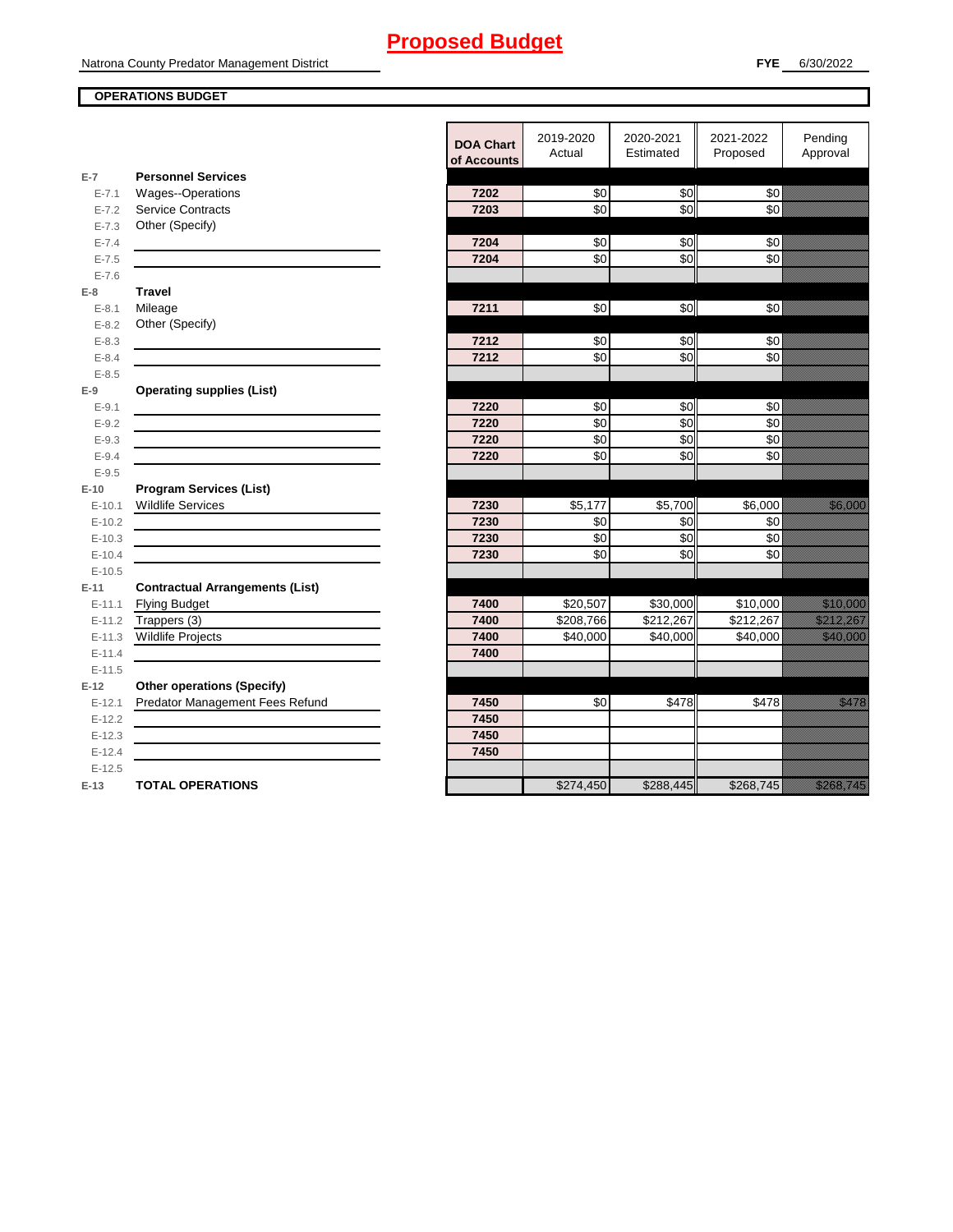#### **OPERATIONS BUDGET**

|                        |                                        | <b>DOA Chart</b><br>of Accounts | 2019-2020<br>Actual | 2020-2021<br>Estimated | 2021-2022<br>Proposed | Pending<br>Approval                                                                                                                                                                                                              |
|------------------------|----------------------------------------|---------------------------------|---------------------|------------------------|-----------------------|----------------------------------------------------------------------------------------------------------------------------------------------------------------------------------------------------------------------------------|
| $E-7$                  | <b>Personnel Services</b>              |                                 |                     |                        |                       |                                                                                                                                                                                                                                  |
| $E - 7.1$              | <b>Wages--Operations</b>               | 7202                            | $\frac{6}{3}$       | \$0                    | $\frac{6}{3}$         |                                                                                                                                                                                                                                  |
| $E - 7.2$              | <b>Service Contracts</b>               | 7203                            | \$0                 | \$0                    | \$0                   |                                                                                                                                                                                                                                  |
| $E - 7.3$              | Other (Specify)                        |                                 |                     |                        |                       |                                                                                                                                                                                                                                  |
| $E - 7.4$              |                                        | 7204                            | $\frac{6}{3}$       | \$0                    | \$0                   |                                                                                                                                                                                                                                  |
| $E - 7.5$              |                                        | 7204                            | \$0                 | \$0                    | \$0                   |                                                                                                                                                                                                                                  |
| $E - 7.6$              |                                        |                                 |                     |                        |                       |                                                                                                                                                                                                                                  |
| $E-8$                  | <b>Travel</b>                          | 7211                            | \$0                 | \$0                    | \$0                   |                                                                                                                                                                                                                                  |
| $E - 8.1$<br>$E - 8.2$ | Mileage<br>Other (Specify)             |                                 |                     |                        |                       |                                                                                                                                                                                                                                  |
| $E - 8.3$              |                                        | 7212                            | \$0                 | \$0                    | \$0                   |                                                                                                                                                                                                                                  |
| $E - 8.4$              |                                        | 7212                            | \$0                 | $\overline{30}$        | \$0                   |                                                                                                                                                                                                                                  |
| $E - 8.5$              |                                        |                                 |                     |                        |                       |                                                                                                                                                                                                                                  |
| $E-9$                  | <b>Operating supplies (List)</b>       |                                 |                     |                        |                       |                                                                                                                                                                                                                                  |
| $E-9.1$                |                                        | 7220                            | \$0                 | \$0                    | \$0                   |                                                                                                                                                                                                                                  |
| $E - 9.2$              |                                        | 7220                            | \$0                 | \$0                    | \$0                   |                                                                                                                                                                                                                                  |
| $E - 9.3$              |                                        | 7220                            | $\sqrt{6}$          | $\sqrt{6}$             | $\frac{6}{3}$         |                                                                                                                                                                                                                                  |
| $E - 9.4$              |                                        | 7220                            | \$0                 | \$0                    | \$0                   |                                                                                                                                                                                                                                  |
| $E - 9.5$              |                                        |                                 |                     |                        |                       |                                                                                                                                                                                                                                  |
| $E-10$                 | <b>Program Services (List)</b>         |                                 |                     |                        |                       |                                                                                                                                                                                                                                  |
| $E-10.1$               | <b>Wildlife Services</b>               | 7230                            | \$5,177             | \$5,700                | \$6,000               | <u>ti ka</u>                                                                                                                                                                                                                     |
| $E-10.2$               |                                        | 7230                            | \$0                 | \$0                    | \$0                   |                                                                                                                                                                                                                                  |
| $E-10.3$               |                                        | 7230                            | \$0                 | \$0                    | \$0                   |                                                                                                                                                                                                                                  |
| $E-10.4$               |                                        | 7230                            | \$0                 | \$0                    | \$0                   |                                                                                                                                                                                                                                  |
| $E-10.5$               |                                        |                                 |                     |                        |                       |                                                                                                                                                                                                                                  |
| $E-11$                 | <b>Contractual Arrangements (List)</b> | 7400                            | \$20,507            |                        |                       |                                                                                                                                                                                                                                  |
| $E - 11.1$<br>$E-11.2$ | <b>Flying Budget</b><br>Trappers (3)   | 7400                            | \$208,766           | \$30,000<br>\$212,267  | \$10,000<br>\$212,267 | <u> Karl Sara</u><br><u>era de la construcción de la construcción de la construcción de la construcción de la construcción de la cons</u>                                                                                        |
| $E-11.3$               | <b>Wildlife Projects</b>               | 7400                            | \$40,000            | \$40,000               | \$40,000              |                                                                                                                                                                                                                                  |
| $E-11.4$               |                                        | 7400                            |                     |                        |                       |                                                                                                                                                                                                                                  |
| $E-11.5$               |                                        |                                 |                     |                        |                       |                                                                                                                                                                                                                                  |
| $E-12$                 | <b>Other operations (Specify)</b>      |                                 |                     |                        |                       |                                                                                                                                                                                                                                  |
| $E-12.1$               | Predator Management Fees Refund        | 7450                            | \$0                 | \$478                  | \$478                 | <u>ellistin</u>                                                                                                                                                                                                                  |
| $E-12.2$               |                                        | 7450                            |                     |                        |                       |                                                                                                                                                                                                                                  |
| $E-12.3$               |                                        | 7450                            |                     |                        |                       |                                                                                                                                                                                                                                  |
| $E-12.4$               |                                        | 7450                            |                     |                        |                       |                                                                                                                                                                                                                                  |
| $E-12.5$               |                                        |                                 |                     |                        |                       |                                                                                                                                                                                                                                  |
| $E-13$                 | <b>TOTAL OPERATIONS</b>                |                                 | \$274,450           | \$288,445              | \$268,745             | a katika katika katika katika katika katika katika katika katika katika katika katika katika katika katika kat<br>Katika katika katika katika katika katika katika katika katika katika katika katika katika katika katika katik |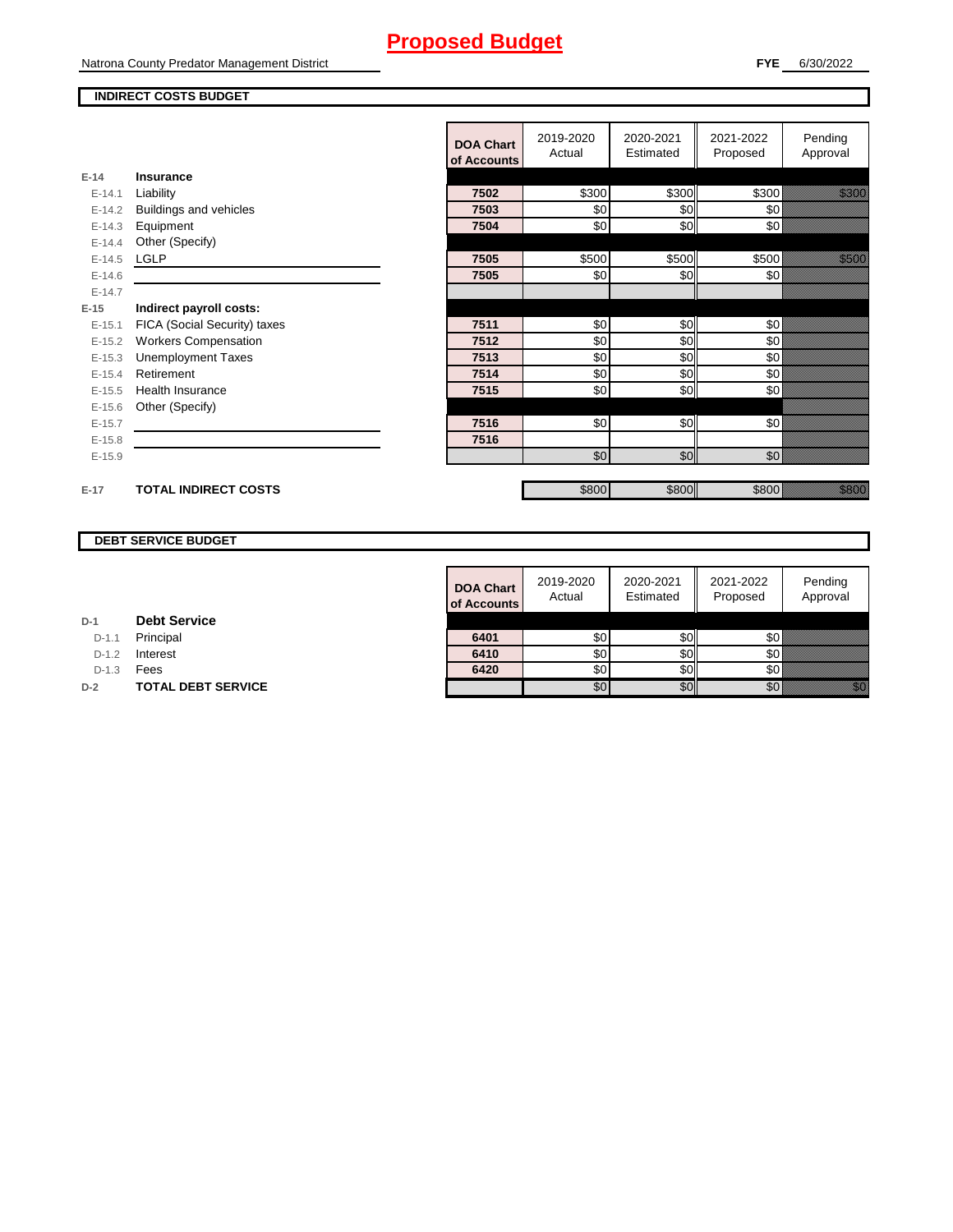Natrona County Predator Management District

### **INDIRECT COSTS BUDGET**

|          |                              | <b>DOA Chart</b><br>of Accounts | 2019-2020<br>Actual | 2020-2021<br>Estimated | 2021-2022<br>Proposed | Pending<br>Approval |
|----------|------------------------------|---------------------------------|---------------------|------------------------|-----------------------|---------------------|
| $E-14$   | Insurance                    |                                 |                     |                        |                       |                     |
| $E-14.1$ | Liability                    | 7502                            | \$300               | \$300                  | \$300                 | <u> Hillian Sa</u>  |
| $E-14.2$ | Buildings and vehicles       | 7503                            | \$0                 | \$0                    | \$0                   |                     |
| $E-14.3$ | Equipment                    | 7504                            | \$0                 | \$0                    | \$0                   |                     |
| $E-14.4$ | Other (Specify)              |                                 |                     |                        |                       |                     |
| $E-14.5$ | <b>LGLP</b>                  | 7505                            | \$500               | \$500                  | \$500                 | <u>tik komun</u>    |
| $E-14.6$ |                              | 7505                            | \$0                 | \$0                    | \$0                   |                     |
| $E-14.7$ |                              |                                 |                     |                        |                       |                     |
| $E-15$   | Indirect payroll costs:      |                                 |                     |                        |                       |                     |
| $E-15.1$ | FICA (Social Security) taxes | 7511                            | \$0                 | \$0                    | \$0                   |                     |
| $E-15.2$ | <b>Workers Compensation</b>  | 7512                            | \$0                 | \$0                    | \$0                   |                     |
| $E-15.3$ | <b>Unemployment Taxes</b>    | 7513                            | \$0                 | \$0                    | \$0                   |                     |
| $E-15.4$ | Retirement                   | 7514                            | \$0                 | \$0                    | \$0                   |                     |
| $E-15.5$ | <b>Health Insurance</b>      | 7515                            | \$0                 | \$0                    | \$0                   |                     |
| $E-15.6$ | Other (Specify)              |                                 |                     |                        |                       |                     |
| $E-15.7$ |                              | 7516                            | \$0                 | \$0                    | \$0                   |                     |
| $E-15.8$ |                              | 7516                            |                     |                        |                       |                     |
| $E-15.9$ |                              |                                 | \$0                 | \$0                    | \$0                   |                     |
|          |                              |                                 |                     |                        |                       |                     |
| $E-17$   | <b>TOTAL INDIRECT COSTS</b>  |                                 | \$800               | \$800                  | \$800                 | <u>ting ang pag</u> |

#### **DEBT SERVICE BUDGET**

|         |                           | <b>DOA Chart</b><br>of Accounts | 2019-2020<br>Actual | 2020-2021<br>Estimated | 2021-2022<br>Proposed | Pending<br>Approval |
|---------|---------------------------|---------------------------------|---------------------|------------------------|-----------------------|---------------------|
|         | <b>Debt Service</b>       |                                 |                     |                        |                       |                     |
| $D-1.1$ | Principal                 | 6401                            | \$0                 | \$0I                   | \$0                   |                     |
| $D-1.2$ | Interest                  | 6410                            | \$0                 | \$0I                   | \$0 B                 |                     |
| $D-1.3$ | Fees                      | 6420                            | \$0                 | SOII                   | <b>\$0</b>            |                     |
|         | <b>TOTAL DEBT SERVICE</b> |                                 | \$0                 | \$0                    | \$0                   | i kilik             |

| <b>Debt Service</b><br>D-1 |  |
|----------------------------|--|
|----------------------------|--|

D-1.1 **Principal** 

D-1.2 **Interest** 

**D-2 TOTAL DEBT SERVICE**